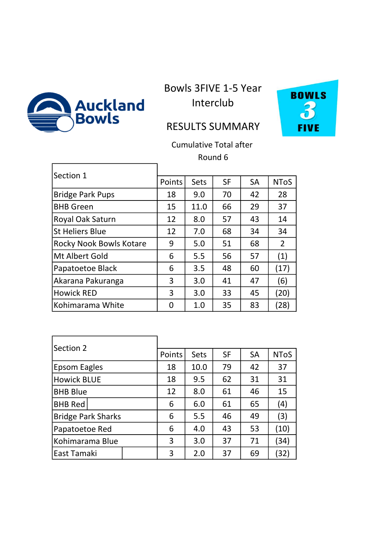

 $\Gamma$ 

 $\mathbf{r}$ 

Bowls 3FIVE 1-5 Year Interclub



## RESULTS SUMMARY

Cumulative Total after Round 6

| Section 1                      |        |      |           |           |                    |
|--------------------------------|--------|------|-----------|-----------|--------------------|
|                                | Points | Sets | <b>SF</b> | <b>SA</b> | <b>NToS</b>        |
| <b>Bridge Park Pups</b>        | 18     | 9.0  | 70        | 42        | 28                 |
| <b>BHB Green</b>               | 15     | 11.0 | 66        | 29        | 37                 |
| Royal Oak Saturn               | 12     | 8.0  | 57        | 43        | 14                 |
| <b>St Heliers Blue</b>         | 12     | 7.0  | 68        | 34        | 34                 |
| <b>Rocky Nook Bowls Kotare</b> | 9      | 5.0  | 51        | 68        | 2                  |
| Mt Albert Gold                 | 6      | 5.5  | 56        | 57        | (1)                |
| Papatoetoe Black               | 6      | 3.5  | 48        | 60        | (17)               |
| Akarana Pakuranga              | 3      | 3.0  | 41        | 47        | (6)                |
| <b>Howick RED</b>              | 3      | 3.0  | 33        | 45        | (20)               |
| Kohimarama White               | U      | 1.0  | 35        | 83        | $\left[ 28\right]$ |

٦

| Section 2                 |  |        |             |           |           |             |
|---------------------------|--|--------|-------------|-----------|-----------|-------------|
|                           |  | Points | <b>Sets</b> | <b>SF</b> | <b>SA</b> | <b>NToS</b> |
| Epsom Eagles              |  | 18     | 10.0        | 79        | 42        | 37          |
| <b>Howick BLUE</b>        |  | 18     | 9.5         | 62        | 31        | 31          |
| <b>BHB Blue</b>           |  | 12     | 8.0         | 61        | 46        | 15          |
| <b>BHB Red</b>            |  | 6      | 6.0         | 61        | 65        | (4)         |
| <b>Bridge Park Sharks</b> |  | 6      | 5.5         | 46        | 49        | (3)         |
| Papatoetoe Red            |  | 6      | 4.0         | 43        | 53        | (10)        |
| Kohimarama Blue           |  | 3      | 3.0         | 37        | 71        | (34)        |
| East Tamaki               |  | 3      | 2.0         | 37        | 69        | 32)         |

Ē.